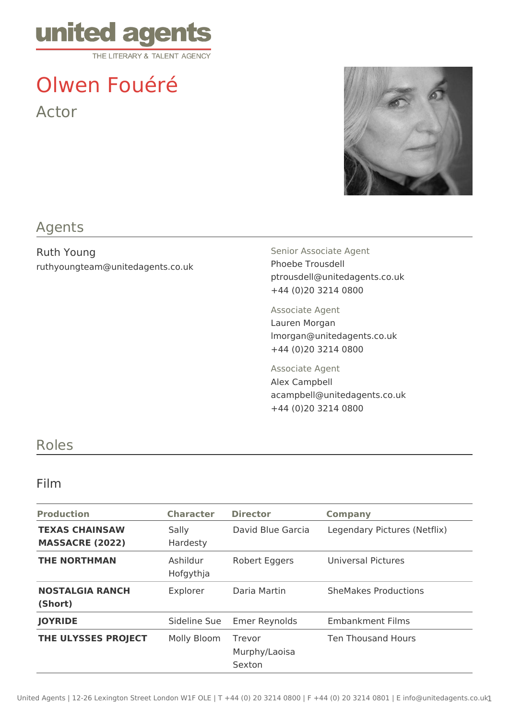

# Olwen Fouéré Actor



# Agents

Ruth Young ruthyoungteam@unitedagents.co.uk Senior Associate Agent Phoebe Trousdell ptrousdell@unitedagents.co.uk +44 (0)20 3214 0800

Associate Agent Lauren Morgan lmorgan@unitedagents.co.uk +44 (0)20 3214 0800

Associate Agent Alex Campbell acampbell@unitedagents.co.uk +44 (0)20 3214 0800

### Roles

#### Film

| <b>Production</b>                               | <b>Character</b>      | <b>Director</b>                   | <b>Company</b>               |
|-------------------------------------------------|-----------------------|-----------------------------------|------------------------------|
| <b>TEXAS CHAINSAW</b><br><b>MASSACRE (2022)</b> | Sally<br>Hardesty     | David Blue Garcia                 | Legendary Pictures (Netflix) |
| <b>THE NORTHMAN</b>                             | Ashildur<br>Hofgythja | Robert Eggers                     | Universal Pictures           |
| <b>NOSTALGIA RANCH</b><br>(Short)               | Explorer              | Daria Martin                      | <b>SheMakes Productions</b>  |
| <b>JOYRIDE</b>                                  | Sideline Sue          | <b>Emer Reynolds</b>              | <b>Embankment Films</b>      |
| THE ULYSSES PROJECT                             | Molly Bloom           | Trevor<br>Murphy/Laoisa<br>Sexton | <b>Ten Thousand Hours</b>    |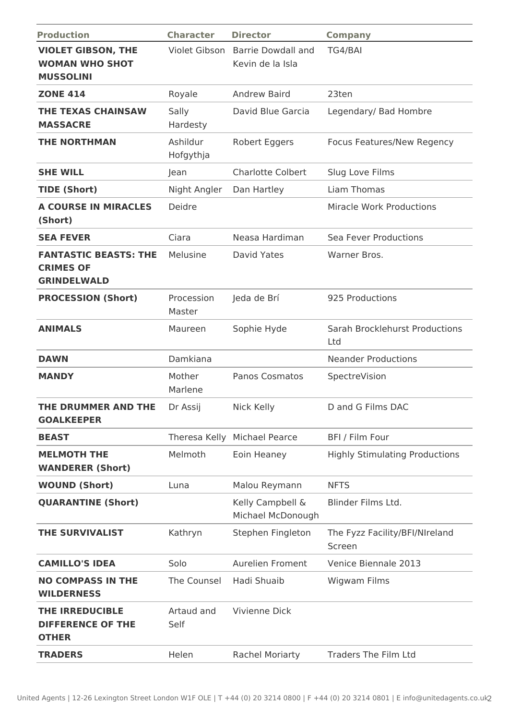| <b>Production</b>                                                      | <b>Character</b>      | <b>Director</b>                               | <b>Company</b>                           |
|------------------------------------------------------------------------|-----------------------|-----------------------------------------------|------------------------------------------|
| <b>VIOLET GIBSON, THE</b><br><b>WOMAN WHO SHOT</b><br><b>MUSSOLINI</b> | Violet Gibson         | <b>Barrie Dowdall and</b><br>Kevin de la Isla | TG4/BAI                                  |
| <b>ZONE 414</b>                                                        | Royale                | <b>Andrew Baird</b>                           | 23ten                                    |
| <b>THE TEXAS CHAINSAW</b><br><b>MASSACRE</b>                           | Sally<br>Hardesty     | David Blue Garcia                             | Legendary/ Bad Hombre                    |
| <b>THE NORTHMAN</b>                                                    | Ashildur<br>Hofgythja | <b>Robert Eggers</b>                          | Focus Features/New Regency               |
| <b>SHE WILL</b>                                                        | Jean                  | <b>Charlotte Colbert</b>                      | Slug Love Films                          |
| <b>TIDE (Short)</b>                                                    | Night Angler          | Dan Hartley                                   | Liam Thomas                              |
| <b>A COURSE IN MIRACLES</b><br>(Short)                                 | Deidre                |                                               | <b>Miracle Work Productions</b>          |
| <b>SEA FEVER</b>                                                       | Ciara                 | Neasa Hardiman                                | Sea Fever Productions                    |
| <b>FANTASTIC BEASTS: THE</b><br><b>CRIMES OF</b><br><b>GRINDELWALD</b> | Melusine              | David Yates                                   | Warner Bros.                             |
| <b>PROCESSION (Short)</b>                                              | Procession<br>Master  | Jeda de Brí                                   | 925 Productions                          |
| <b>ANIMALS</b>                                                         | Maureen               | Sophie Hyde                                   | Sarah Brocklehurst Productions<br>Ltd    |
| <b>DAWN</b>                                                            | Damkiana              |                                               | <b>Neander Productions</b>               |
| <b>MANDY</b>                                                           | Mother<br>Marlene     | <b>Panos Cosmatos</b>                         | SpectreVision                            |
| THE DRUMMER AND THE<br><b>GOALKEEPER</b>                               | Dr Assij              | Nick Kelly                                    | D and G Films DAC                        |
| <b>BEAST</b>                                                           |                       | Theresa Kelly Michael Pearce                  | BFI / Film Four                          |
| <b>MELMOTH THE</b><br><b>WANDERER (Short)</b>                          | Melmoth               | Eoin Heaney                                   | <b>Highly Stimulating Productions</b>    |
| <b>WOUND (Short)</b>                                                   | Luna                  | Malou Reymann                                 | <b>NFTS</b>                              |
| <b>QUARANTINE (Short)</b>                                              |                       | Kelly Campbell &<br>Michael McDonough         | Blinder Films Ltd.                       |
| THE SURVIVALIST                                                        | Kathryn               | Stephen Fingleton                             | The Fyzz Facility/BFI/NIreland<br>Screen |
| <b>CAMILLO'S IDEA</b>                                                  | Solo                  | Aurelien Froment                              | Venice Biennale 2013                     |
| <b>NO COMPASS IN THE</b><br><b>WILDERNESS</b>                          | The Counsel           | Hadi Shuaib                                   | <b>Wigwam Films</b>                      |
| <b>THE IRREDUCIBLE</b><br><b>DIFFERENCE OF THE</b><br><b>OTHER</b>     | Artaud and<br>Self    | Vivienne Dick                                 |                                          |
| <b>TRADERS</b>                                                         | Helen                 | <b>Rachel Moriarty</b>                        | <b>Traders The Film Ltd</b>              |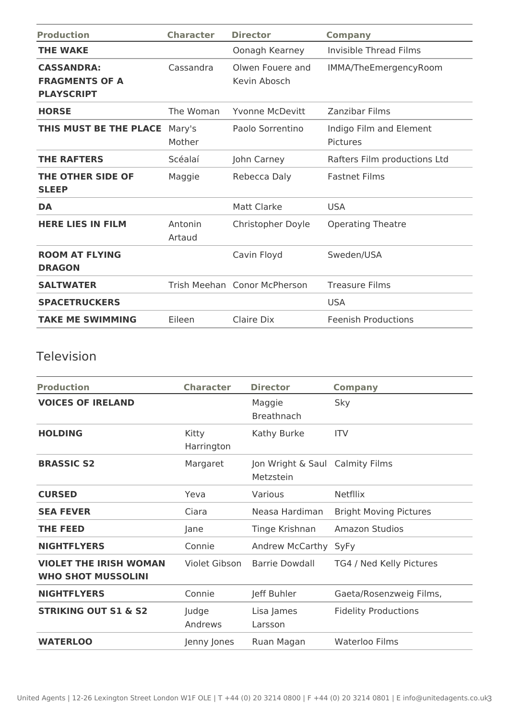| <b>Production</b>                                               | <b>Character</b>  | <b>Director</b>                  | <b>Company</b>                      |
|-----------------------------------------------------------------|-------------------|----------------------------------|-------------------------------------|
| <b>THE WAKE</b>                                                 |                   | Oonagh Kearney                   | Invisible Thread Films              |
| <b>CASSANDRA:</b><br><b>FRAGMENTS OF A</b><br><b>PLAYSCRIPT</b> | Cassandra         | Olwen Fouere and<br>Kevin Abosch | IMMA/TheEmergencyRoom               |
| <b>HORSE</b>                                                    | The Woman         | Yvonne McDevitt                  | Zanzibar Films                      |
| THIS MUST BE THE PLACE                                          | Mary's<br>Mother  | Paolo Sorrentino                 | Indigo Film and Element<br>Pictures |
| <b>THE RAFTERS</b>                                              | Scéalaí           | John Carney                      | Rafters Film productions Ltd        |
| THE OTHER SIDE OF<br><b>SLEEP</b>                               | Maggie            | Rebecca Daly                     | <b>Fastnet Films</b>                |
| <b>DA</b>                                                       |                   | <b>Matt Clarke</b>               | <b>USA</b>                          |
| <b>HERE LIES IN FILM</b>                                        | Antonin<br>Artaud | Christopher Doyle                | <b>Operating Theatre</b>            |
| <b>ROOM AT FLYING</b><br><b>DRAGON</b>                          |                   | Cavin Floyd                      | Sweden/USA                          |
| <b>SALTWATER</b>                                                |                   | Trish Meehan Conor McPherson     | <b>Treasure Films</b>               |
| <b>SPACETRUCKERS</b>                                            |                   |                                  | <b>USA</b>                          |
| <b>TAKE ME SWIMMING</b>                                         | Eileen            | Claire Dix                       | <b>Feenish Productions</b>          |

# Television

| <b>Production</b>                                          | <b>Character</b>    | <b>Director</b>                              | <b>Company</b>                |
|------------------------------------------------------------|---------------------|----------------------------------------------|-------------------------------|
| <b>VOICES OF IRELAND</b>                                   |                     | Maggie<br><b>Breathnach</b>                  | Sky                           |
| <b>HOLDING</b>                                             | Kitty<br>Harrington | Kathy Burke                                  | <b>ITV</b>                    |
| <b>BRASSIC S2</b>                                          | Margaret            | Jon Wright & Saul Calmity Films<br>Metzstein |                               |
| <b>CURSED</b>                                              | Yeva                | Various                                      | <b>Netfllix</b>               |
| <b>SEA FEVER</b>                                           | Ciara               | Neasa Hardiman                               | <b>Bright Moving Pictures</b> |
| <b>THE FEED</b>                                            | Jane                | Tinge Krishnan                               | <b>Amazon Studios</b>         |
| <b>NIGHTFLYERS</b>                                         | Connie              | Andrew McCarthy                              | SyFy                          |
| <b>VIOLET THE IRISH WOMAN</b><br><b>WHO SHOT MUSSOLINI</b> | Violet Gibson       | <b>Barrie Dowdall</b>                        | TG4 / Ned Kelly Pictures      |
| <b>NIGHTFLYERS</b>                                         | Connie              | Jeff Buhler                                  | Gaeta/Rosenzweig Films,       |
| <b>STRIKING OUT S1 &amp; S2</b>                            | Judge<br>Andrews    | Lisa James<br>Larsson                        | <b>Fidelity Productions</b>   |
| <b>WATERLOO</b>                                            | Jenny Jones         | Ruan Magan                                   | Waterloo Films                |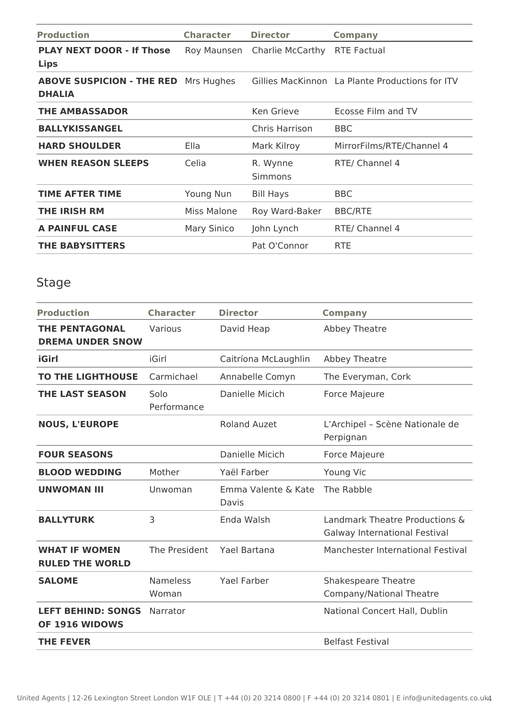| <b>Production</b>                                            | <b>Character</b> | <b>Director</b>            | <b>Company</b>                                  |
|--------------------------------------------------------------|------------------|----------------------------|-------------------------------------------------|
| <b>PLAY NEXT DOOR - If Those</b><br><b>Lips</b>              | Roy Maunsen      | Charlie McCarthy           | <b>RTE Factual</b>                              |
| <b>ABOVE SUSPICION - THE RED</b> Mrs Hughes<br><b>DHALIA</b> |                  |                            | Gillies MacKinnon La Plante Productions for ITV |
| <b>THE AMBASSADOR</b>                                        |                  | Ken Grieve                 | Ecosse Film and TV                              |
| <b>BALLYKISSANGEL</b>                                        |                  | Chris Harrison             | <b>BBC</b>                                      |
| <b>HARD SHOULDER</b>                                         | Ella             | Mark Kilroy                | MirrorFilms/RTE/Channel 4                       |
| <b>WHEN REASON SLEEPS</b>                                    | Celia            | R. Wynne<br><b>Simmons</b> | RTE/ Channel 4                                  |
| <b>TIME AFTER TIME</b>                                       | Young Nun        | <b>Bill Hays</b>           | <b>BBC</b>                                      |
| <b>THE IRISH RM</b>                                          | Miss Malone      | Roy Ward-Baker             | <b>BBC/RTE</b>                                  |
| <b>A PAINFUL CASE</b>                                        | Mary Sinico      | John Lynch                 | RTE/ Channel 4                                  |
| <b>THE BABYSITTERS</b>                                       |                  | Pat O'Connor               | <b>RTE</b>                                      |

# Stage

| <b>Production</b>                                | <b>Character</b>         | <b>Director</b>              | <b>Company</b>                                                  |
|--------------------------------------------------|--------------------------|------------------------------|-----------------------------------------------------------------|
| <b>THE PENTAGONAL</b><br><b>DREMA UNDER SNOW</b> | Various                  | David Heap                   | Abbey Theatre                                                   |
| iGirl                                            | iGirl                    | Caitríona McLaughlin         | Abbey Theatre                                                   |
| <b>TO THE LIGHTHOUSE</b>                         | Carmichael               | Annabelle Comyn              | The Everyman, Cork                                              |
| <b>THE LAST SEASON</b>                           | Solo<br>Performance      | Danielle Micich              | <b>Force Majeure</b>                                            |
| <b>NOUS, L'EUROPE</b>                            |                          | <b>Roland Auzet</b>          | L'Archipel - Scène Nationale de<br>Perpignan                    |
| <b>FOUR SEASONS</b>                              |                          | Danielle Micich              | <b>Force Majeure</b>                                            |
| <b>BLOOD WEDDING</b>                             | Mother                   | Yaël Farber                  | Young Vic                                                       |
| <b>UNWOMAN III</b>                               | Unwoman                  | Emma Valente & Kate<br>Davis | The Rabble                                                      |
| <b>BALLYTURK</b>                                 | 3                        | Enda Walsh                   | Landmark Theatre Productions &<br>Galway International Festival |
| <b>WHAT IF WOMEN</b><br><b>RULED THE WORLD</b>   | The President            | Yael Bartana                 | Manchester International Festival                               |
| <b>SALOME</b>                                    | <b>Nameless</b><br>Woman | <b>Yael Farber</b>           | <b>Shakespeare Theatre</b><br>Company/National Theatre          |
| <b>LEFT BEHIND: SONGS</b><br>OF 1916 WIDOWS      | Narrator                 |                              | National Concert Hall, Dublin                                   |
| <b>THE FEVER</b>                                 |                          |                              | <b>Belfast Festival</b>                                         |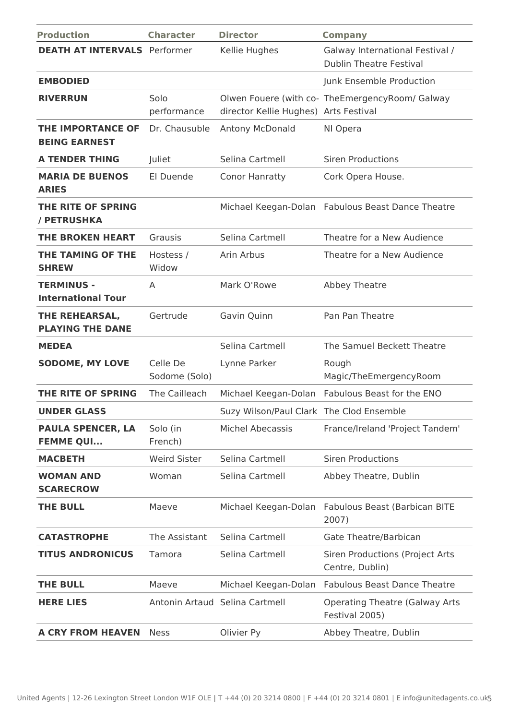| <b>Production</b>                                | <b>Character</b>          | <b>Director</b>                          | <b>Company</b>                                                    |
|--------------------------------------------------|---------------------------|------------------------------------------|-------------------------------------------------------------------|
| <b>DEATH AT INTERVALS</b> Performer              |                           | Kellie Hughes                            | Galway International Festival /<br><b>Dublin Theatre Festival</b> |
| <b>EMBODIED</b>                                  |                           |                                          | Junk Ensemble Production                                          |
| <b>RIVERRUN</b>                                  | Solo<br>performance       | director Kellie Hughes) Arts Festival    | Olwen Fouere (with co- TheEmergencyRoom/ Galway                   |
| <b>THE IMPORTANCE OF</b><br><b>BEING EARNEST</b> | Dr. Chausuble             | Antony McDonald                          | NI Opera                                                          |
| <b>A TENDER THING</b>                            | Juliet                    | Selina Cartmell                          | <b>Siren Productions</b>                                          |
| <b>MARIA DE BUENOS</b><br><b>ARIES</b>           | El Duende                 | <b>Conor Hanratty</b>                    | Cork Opera House.                                                 |
| THE RITE OF SPRING<br>/ PETRUSHKA                |                           |                                          | Michael Keegan-Dolan Fabulous Beast Dance Theatre                 |
| <b>THE BROKEN HEART</b>                          | Grausis                   | Selina Cartmell                          | Theatre for a New Audience                                        |
| THE TAMING OF THE<br><b>SHREW</b>                | Hostess /<br>Widow        | Arin Arbus                               | Theatre for a New Audience                                        |
| <b>TERMINUS -</b><br><b>International Tour</b>   | A                         | Mark O'Rowe                              | Abbey Theatre                                                     |
| THE REHEARSAL,<br><b>PLAYING THE DANE</b>        | Gertrude                  | Gavin Quinn                              | Pan Pan Theatre                                                   |
| <b>MEDEA</b>                                     |                           | Selina Cartmell                          | The Samuel Beckett Theatre                                        |
| <b>SODOME, MY LOVE</b>                           | Celle De<br>Sodome (Solo) | Lynne Parker                             | Rough<br>Magic/TheEmergencyRoom                                   |
| THE RITE OF SPRING                               | The Cailleach             | Michael Keegan-Dolan                     | Fabulous Beast for the ENO                                        |
| <b>UNDER GLASS</b>                               |                           | Suzy Wilson/Paul Clark The Clod Ensemble |                                                                   |
| <b>PAULA SPENCER, LA</b><br><b>FEMME QUI</b>     | Solo (in<br>French)       | <b>Michel Abecassis</b>                  | France/Ireland 'Project Tandem'                                   |
| <b>MACBETH</b>                                   | <b>Weird Sister</b>       | Selina Cartmell                          | <b>Siren Productions</b>                                          |
| <b>WOMAN AND</b><br><b>SCARECROW</b>             | Woman                     | Selina Cartmell                          | Abbey Theatre, Dublin                                             |
| <b>THE BULL</b>                                  | Maeve                     | Michael Keegan-Dolan                     | Fabulous Beast (Barbican BITE<br>2007)                            |
| <b>CATASTROPHE</b>                               | The Assistant             | Selina Cartmell                          | Gate Theatre/Barbican                                             |
| <b>TITUS ANDRONICUS</b>                          | Tamora                    | Selina Cartmell                          | Siren Productions (Project Arts<br>Centre, Dublin)                |
| <b>THE BULL</b>                                  | Maeve                     | Michael Keegan-Dolan                     | <b>Fabulous Beast Dance Theatre</b>                               |
| <b>HERE LIES</b>                                 |                           | Antonin Artaud Selina Cartmell           | <b>Operating Theatre (Galway Arts</b><br>Festival 2005)           |
| <b>A CRY FROM HEAVEN</b>                         | <b>Ness</b>               | Olivier Py                               | Abbey Theatre, Dublin                                             |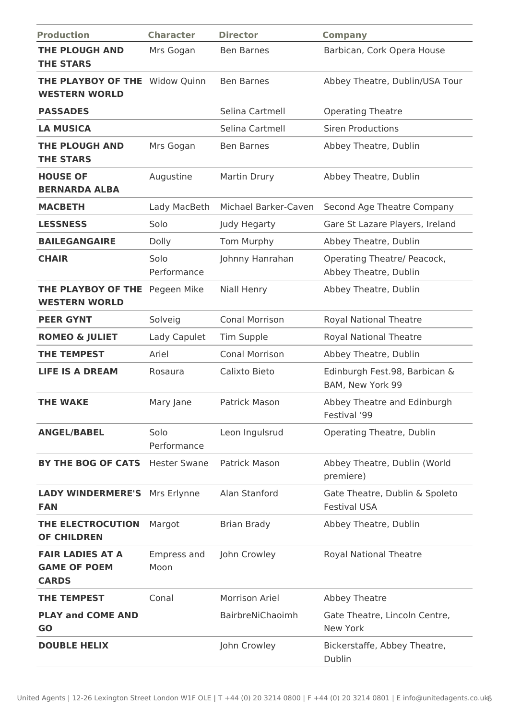| <b>Production</b>                                              | <b>Character</b>    | <b>Director</b>       | <b>Company</b>                                        |
|----------------------------------------------------------------|---------------------|-----------------------|-------------------------------------------------------|
| <b>THE PLOUGH AND</b>                                          | Mrs Gogan           | <b>Ben Barnes</b>     | Barbican, Cork Opera House                            |
| <b>THE STARS</b>                                               |                     |                       |                                                       |
| <b>THE PLAYBOY OF THE Widow Quinn</b><br><b>WESTERN WORLD</b>  |                     | <b>Ben Barnes</b>     | Abbey Theatre, Dublin/USA Tour                        |
| <b>PASSADES</b>                                                |                     | Selina Cartmell       | <b>Operating Theatre</b>                              |
| <b>LA MUSICA</b>                                               |                     | Selina Cartmell       | <b>Siren Productions</b>                              |
| <b>THE PLOUGH AND</b><br><b>THE STARS</b>                      | Mrs Gogan           | <b>Ben Barnes</b>     | Abbey Theatre, Dublin                                 |
| <b>HOUSE OF</b><br><b>BERNARDA ALBA</b>                        | Augustine           | Martin Drury          | Abbey Theatre, Dublin                                 |
| <b>MACBETH</b>                                                 | Lady MacBeth        | Michael Barker-Caven  | Second Age Theatre Company                            |
| <b>LESSNESS</b>                                                | Solo                | Judy Hegarty          | Gare St Lazare Players, Ireland                       |
| <b>BAILEGANGAIRE</b>                                           | Dolly               | Tom Murphy            | Abbey Theatre, Dublin                                 |
| <b>CHAIR</b>                                                   | Solo<br>Performance | Johnny Hanrahan       | Operating Theatre/ Peacock,<br>Abbey Theatre, Dublin  |
| THE PLAYBOY OF THE<br><b>WESTERN WORLD</b>                     | Pegeen Mike         | <b>Niall Henry</b>    | Abbey Theatre, Dublin                                 |
| <b>PEER GYNT</b>                                               | Solveig             | <b>Conal Morrison</b> | <b>Royal National Theatre</b>                         |
| <b>ROMEO &amp; JULIET</b>                                      | Lady Capulet        | <b>Tim Supple</b>     | <b>Royal National Theatre</b>                         |
| <b>THE TEMPEST</b>                                             | Ariel               | <b>Conal Morrison</b> | Abbey Theatre, Dublin                                 |
| <b>LIFE IS A DREAM</b>                                         | Rosaura             | Calixto Bieto         | Edinburgh Fest.98, Barbican &<br>BAM, New York 99     |
| <b>THE WAKE</b>                                                | Mary Jane           | Patrick Mason         | Abbey Theatre and Edinburgh<br>Festival '99           |
| <b>ANGEL/BABEL</b>                                             | Solo<br>Performance | Leon Ingulsrud        | <b>Operating Theatre, Dublin</b>                      |
| <b>BY THE BOG OF CATS</b>                                      | <b>Hester Swane</b> | Patrick Mason         | Abbey Theatre, Dublin (World<br>premiere)             |
| <b>LADY WINDERMERE'S</b><br><b>FAN</b>                         | Mrs Erlynne         | Alan Stanford         | Gate Theatre, Dublin & Spoleto<br><b>Festival USA</b> |
| THE ELECTROCUTION<br><b>OF CHILDREN</b>                        | Margot              | <b>Brian Brady</b>    | Abbey Theatre, Dublin                                 |
| <b>FAIR LADIES AT A</b><br><b>GAME OF POEM</b><br><b>CARDS</b> | Empress and<br>Moon | John Crowley          | <b>Royal National Theatre</b>                         |
| <b>THE TEMPEST</b>                                             | Conal               | Morrison Ariel        | Abbey Theatre                                         |
| <b>PLAY and COME AND</b><br><b>GO</b>                          |                     | BairbreNiChaoimh      | Gate Theatre, Lincoln Centre,<br>New York             |
| <b>DOUBLE HELIX</b>                                            |                     | John Crowley          | Bickerstaffe, Abbey Theatre,<br>Dublin                |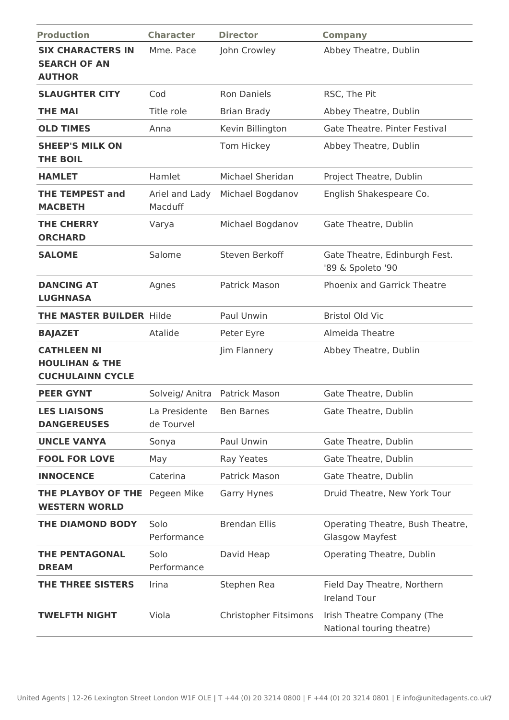| <b>Production</b>                                                          | <b>Character</b>                       | <b>Director</b>       | <b>Company</b>                                             |
|----------------------------------------------------------------------------|----------------------------------------|-----------------------|------------------------------------------------------------|
| <b>SIX CHARACTERS IN</b><br><b>SEARCH OF AN</b><br><b>AUTHOR</b>           | Mme. Pace                              | John Crowley          | Abbey Theatre, Dublin                                      |
| <b>SLAUGHTER CITY</b>                                                      | Cod                                    | <b>Ron Daniels</b>    | RSC, The Pit                                               |
| <b>THE MAI</b>                                                             | Title role                             | <b>Brian Brady</b>    | Abbey Theatre, Dublin                                      |
| <b>OLD TIMES</b>                                                           | Anna                                   | Kevin Billington      | <b>Gate Theatre, Pinter Festival</b>                       |
| <b>SHEEP'S MILK ON</b><br><b>THE BOIL</b>                                  |                                        | Tom Hickey            | Abbey Theatre, Dublin                                      |
| <b>HAMLET</b>                                                              | Hamlet                                 | Michael Sheridan      | Project Theatre, Dublin                                    |
| <b>THE TEMPEST and</b><br><b>MACBETH</b>                                   | Ariel and Lady<br>Macduff              | Michael Bogdanov      | English Shakespeare Co.                                    |
| <b>THE CHERRY</b><br><b>ORCHARD</b>                                        | Varya                                  | Michael Bogdanov      | Gate Theatre, Dublin                                       |
| <b>SALOME</b>                                                              | Salome                                 | Steven Berkoff        | Gate Theatre, Edinburgh Fest.<br>'89 & Spoleto '90         |
| <b>DANCING AT</b><br><b>LUGHNASA</b>                                       | Agnes                                  | <b>Patrick Mason</b>  | <b>Phoenix and Garrick Theatre</b>                         |
| <b>THE MASTER BUILDER Hilde</b>                                            |                                        | Paul Unwin            | <b>Bristol Old Vic</b>                                     |
| <b>BAJAZET</b>                                                             | Atalide                                | Peter Eyre            | Almeida Theatre                                            |
| <b>CATHLEEN NI</b><br><b>HOULIHAN &amp; THE</b><br><b>CUCHULAINN CYCLE</b> |                                        | Jim Flannery          | Abbey Theatre, Dublin                                      |
| <b>PEER GYNT</b>                                                           | Solveig/ Anitra Patrick Mason          |                       | Gate Theatre, Dublin                                       |
| <b>LES LIAISONS</b><br><b>DANGEREUSES</b>                                  | La Presidente Ben Barnes<br>de Tourvel |                       | Gate Theatre, Dublin                                       |
| <b>UNCLE VANYA</b>                                                         | Sonya                                  | Paul Unwin            | Gate Theatre, Dublin                                       |
| <b>FOOL FOR LOVE</b>                                                       | May                                    | Ray Yeates            | Gate Theatre, Dublin                                       |
| <b>INNOCENCE</b>                                                           | Caterina                               | <b>Patrick Mason</b>  | Gate Theatre, Dublin                                       |
| THE PLAYBOY OF THE<br><b>WESTERN WORLD</b>                                 | Pegeen Mike                            | Garry Hynes           | Druid Theatre, New York Tour                               |
| <b>THE DIAMOND BODY</b>                                                    | Solo<br>Performance                    | <b>Brendan Ellis</b>  | Operating Theatre, Bush Theatre,<br><b>Glasgow Mayfest</b> |
| <b>THE PENTAGONAL</b><br><b>DREAM</b>                                      | Solo<br>Performance                    | David Heap            | Operating Theatre, Dublin                                  |
| THE THREE SISTERS                                                          | Irina                                  | Stephen Rea           | Field Day Theatre, Northern<br><b>Ireland Tour</b>         |
| TWELFTH NIGHT                                                              | Viola                                  | Christopher Fitsimons | Irish Theatre Company (The<br>National touring theatre)    |